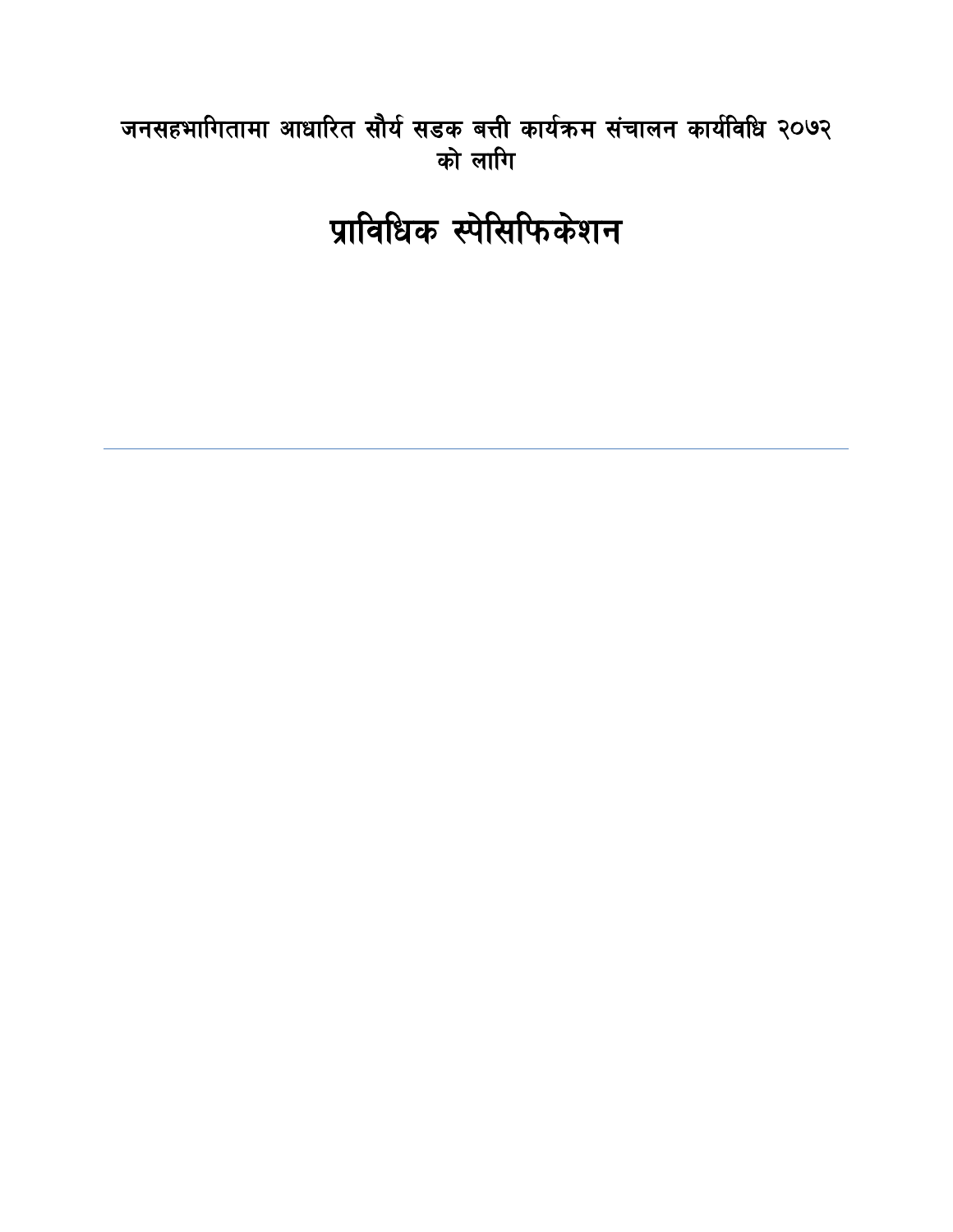# जनसहभागितामा आधारित सौर्य सडक बत्ती कार्यक्रम संचालन कार्यविधि २०७२ को लागि

प्राविधिक स्पेसिफिकेशन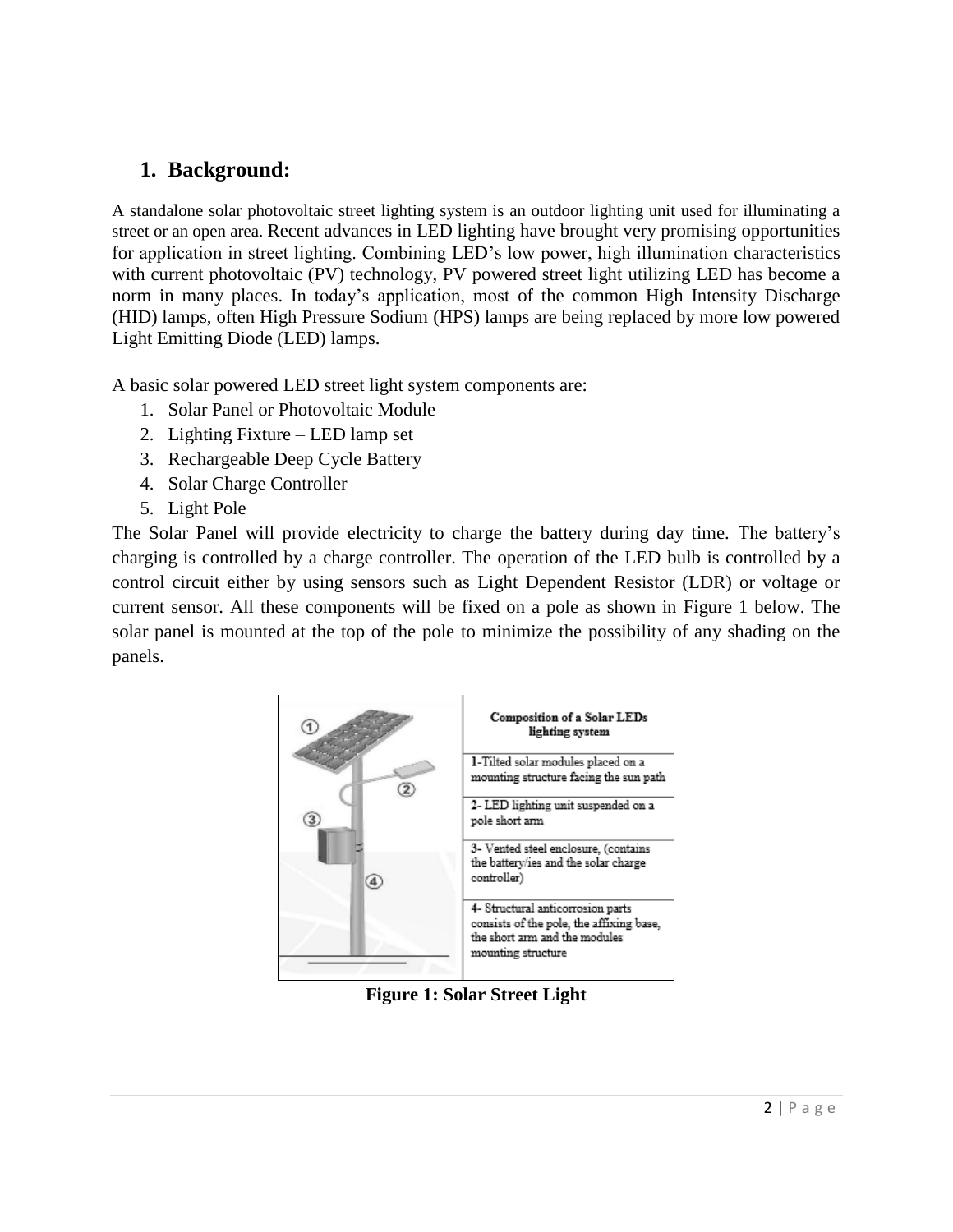## **1. Background:**

A standalone solar photovoltaic street lighting system is an outdoor lighting unit used for illuminating a street or an open area. Recent advances in LED lighting have brought very promising opportunities for application in street lighting. Combining LED's low power, high illumination characteristics with current photovoltaic (PV) technology, PV powered street light utilizing LED has become a norm in many places. In today's application, most of the common High Intensity Discharge (HID) lamps, often High Pressure Sodium (HPS) lamps are being replaced by more low powered Light Emitting Diode (LED) lamps.

A basic solar powered LED street light system components are:

- 1. Solar Panel or Photovoltaic Module
- 2. Lighting Fixture LED lamp set
- 3. Rechargeable Deep Cycle Battery
- 4. Solar Charge Controller
- 5. Light Pole

The Solar Panel will provide electricity to charge the battery during day time. The battery's charging is controlled by a charge controller. The operation of the LED bulb is controlled by a control circuit either by using sensors such as Light Dependent Resistor (LDR) or voltage or current sensor. All these components will be fixed on a pole as shown in Figure 1 below. The solar panel is mounted at the top of the pole to minimize the possibility of any shading on the panels.



**Figure 1: Solar Street Light**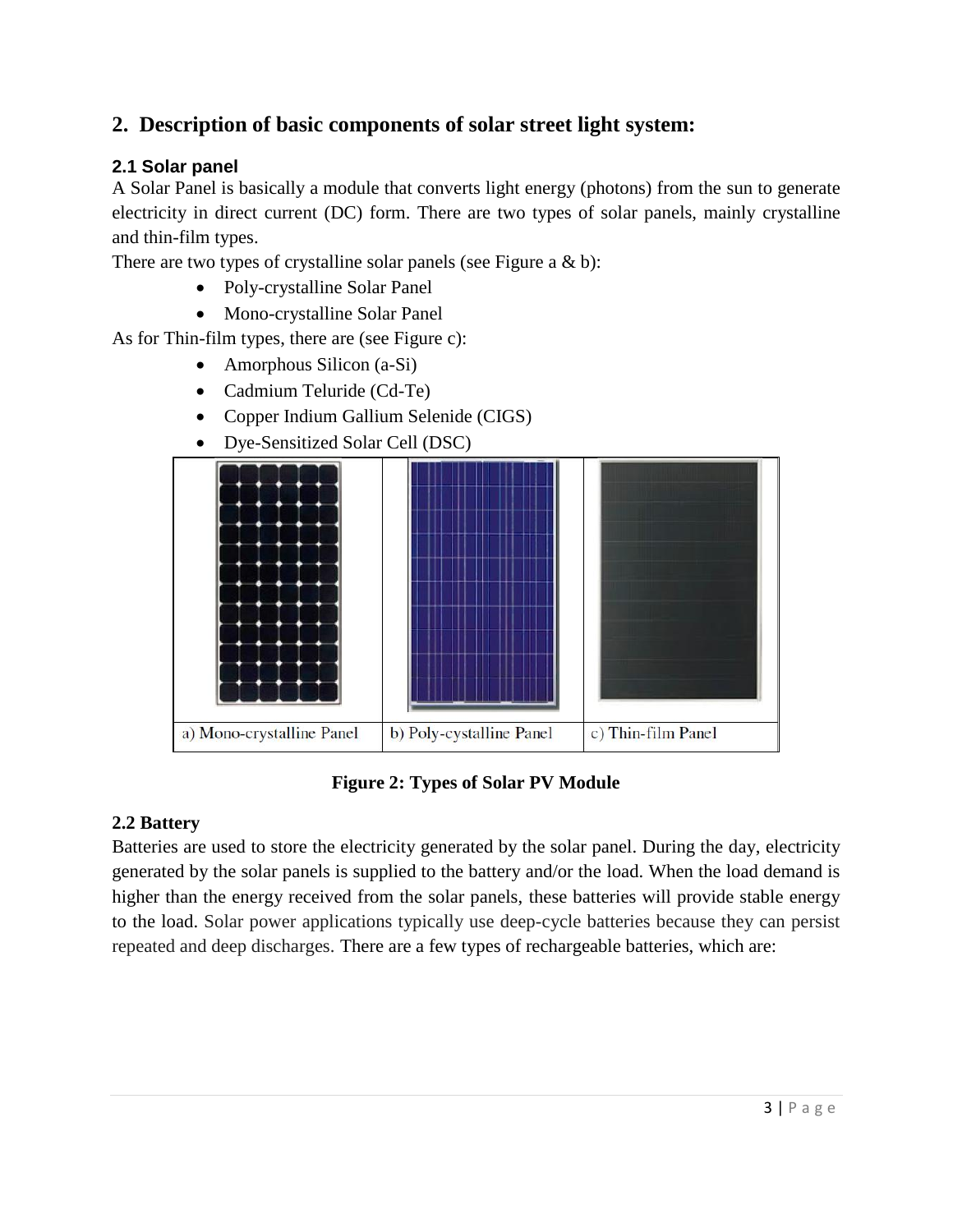## **2. Description of basic components of solar street light system:**

## **2.1 Solar panel**

A Solar Panel is basically a module that converts light energy (photons) from the sun to generate electricity in direct current (DC) form. There are two types of solar panels, mainly crystalline and thin-film types.

There are two types of crystalline solar panels (see Figure a  $& b$ ):

- Poly-crystalline Solar Panel
- Mono-crystalline Solar Panel

As for Thin-film types, there are (see Figure c):

- Amorphous Silicon (a-Si)
- Cadmium Teluride (Cd-Te)
- Copper Indium Gallium Selenide (CIGS)
- Dye-Sensitized Solar Cell (DSC)



## **Figure 2: Types of Solar PV Module**

#### **2.2 Battery**

Batteries are used to store the electricity generated by the solar panel. During the day, electricity generated by the solar panels is supplied to the battery and/or the load. When the load demand is higher than the energy received from the solar panels, these batteries will provide stable energy to the load. Solar power applications typically use deep-cycle batteries because they can persist repeated and deep discharges. There are a few types of rechargeable batteries, which are: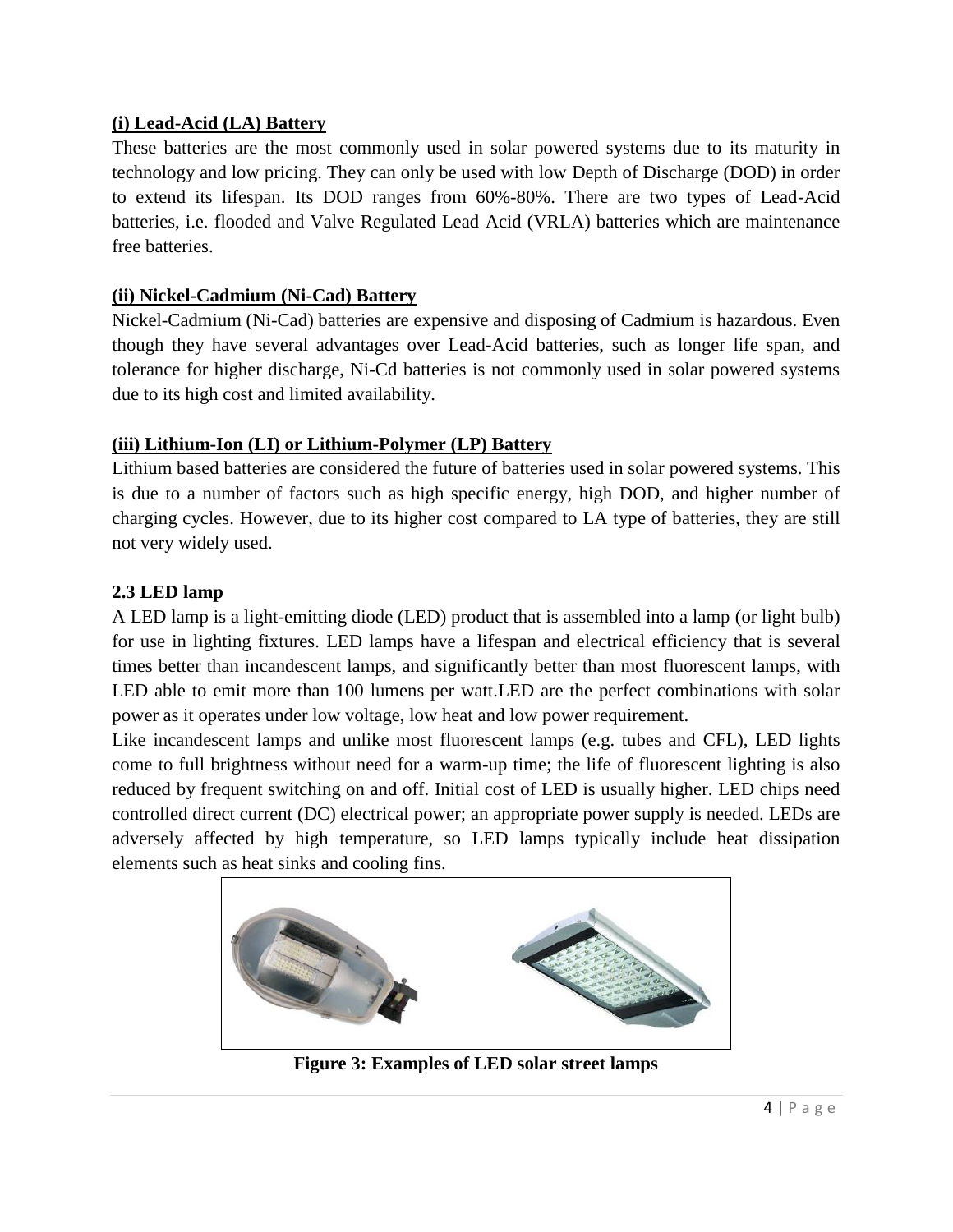## **(i) Lead-Acid (LA) Battery**

These batteries are the most commonly used in solar powered systems due to its maturity in technology and low pricing. They can only be used with low Depth of Discharge (DOD) in order to extend its lifespan. Its DOD ranges from 60%-80%. There are two types of Lead-Acid batteries, i.e. flooded and Valve Regulated Lead Acid (VRLA) batteries which are maintenance free batteries.

## **(ii) Nickel-Cadmium (Ni-Cad) Battery**

Nickel-Cadmium (Ni-Cad) batteries are expensive and disposing of Cadmium is hazardous. Even though they have several advantages over Lead-Acid batteries, such as longer life span, and tolerance for higher discharge, Ni-Cd batteries is not commonly used in solar powered systems due to its high cost and limited availability.

## **(iii) Lithium-Ion (LI) or Lithium-Polymer (LP) Battery**

Lithium based batteries are considered the future of batteries used in solar powered systems. This is due to a number of factors such as high specific energy, high DOD, and higher number of charging cycles. However, due to its higher cost compared to LA type of batteries, they are still not very widely used.

## **2.3 LED lamp**

A LED lamp is a light-emitting diode (LED) product that is assembled into a lamp (or light bulb) for use in lighting fixtures. LED lamps have a lifespan and electrical efficiency that is several times better than incandescent lamps, and significantly better than most fluorescent lamps, with LED able to emit more than 100 lumens per watt.LED are the perfect combinations with solar power as it operates under low voltage, low heat and low power requirement.

Like incandescent lamps and unlike most fluorescent lamps (e.g. tubes and CFL), LED lights come to full brightness without need for a warm-up time; the life of fluorescent lighting is also reduced by frequent switching on and off. Initial cost of LED is usually higher. LED chips need controlled direct current (DC) electrical power; an appropriate power supply is needed. LEDs are adversely affected by high temperature, so LED lamps typically include heat dissipation elements such as heat sinks and cooling fins.



**Figure 3: Examples of LED solar street lamps**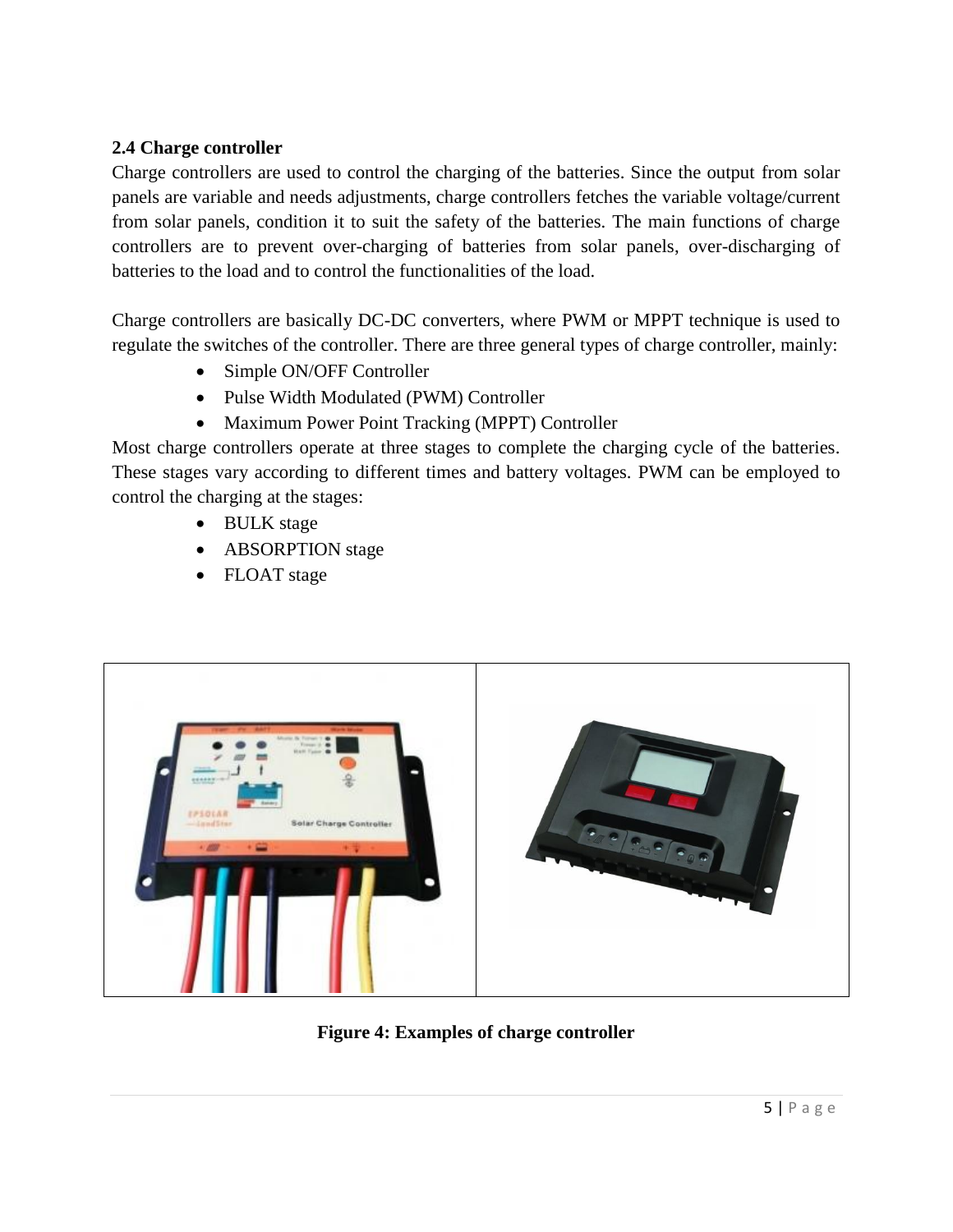## **2.4 Charge controller**

Charge controllers are used to control the charging of the batteries. Since the output from solar panels are variable and needs adjustments, charge controllers fetches the variable voltage/current from solar panels, condition it to suit the safety of the batteries. The main functions of charge controllers are to prevent over-charging of batteries from solar panels, over-discharging of batteries to the load and to control the functionalities of the load.

Charge controllers are basically DC-DC converters, where PWM or MPPT technique is used to regulate the switches of the controller. There are three general types of charge controller, mainly:

- Simple ON/OFF Controller
- Pulse Width Modulated (PWM) Controller
- Maximum Power Point Tracking (MPPT) Controller

Most charge controllers operate at three stages to complete the charging cycle of the batteries. These stages vary according to different times and battery voltages. PWM can be employed to control the charging at the stages:

- BULK stage
- ABSORPTION stage
- FLOAT stage



**Figure 4: Examples of charge controller**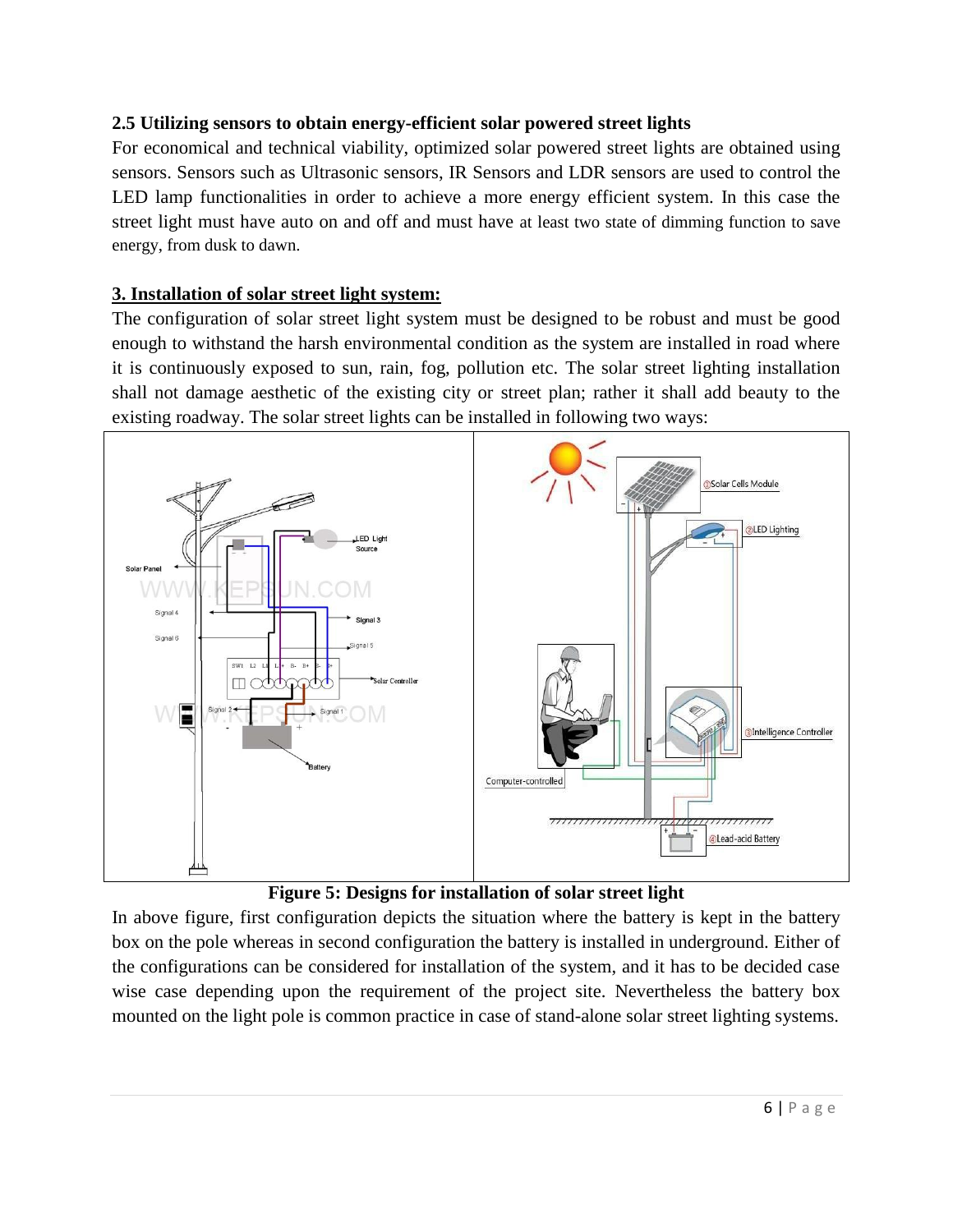## **2.5 Utilizing sensors to obtain energy-efficient solar powered street lights**

For economical and technical viability, optimized solar powered street lights are obtained using sensors. Sensors such as Ultrasonic sensors, IR Sensors and LDR sensors are used to control the LED lamp functionalities in order to achieve a more energy efficient system. In this case the street light must have auto on and off and must have at least two state of dimming function to save energy, from dusk to dawn.

## **3. Installation of solar street light system:**

The configuration of solar street light system must be designed to be robust and must be good enough to withstand the harsh environmental condition as the system are installed in road where it is continuously exposed to sun, rain, fog, pollution etc. The solar street lighting installation shall not damage aesthetic of the existing city or street plan; rather it shall add beauty to the existing roadway. The solar street lights can be installed in following two ways:





In above figure, first configuration depicts the situation where the battery is kept in the battery box on the pole whereas in second configuration the battery is installed in underground. Either of the configurations can be considered for installation of the system, and it has to be decided case wise case depending upon the requirement of the project site. Nevertheless the battery box mounted on the light pole is common practice in case of stand-alone solar street lighting systems.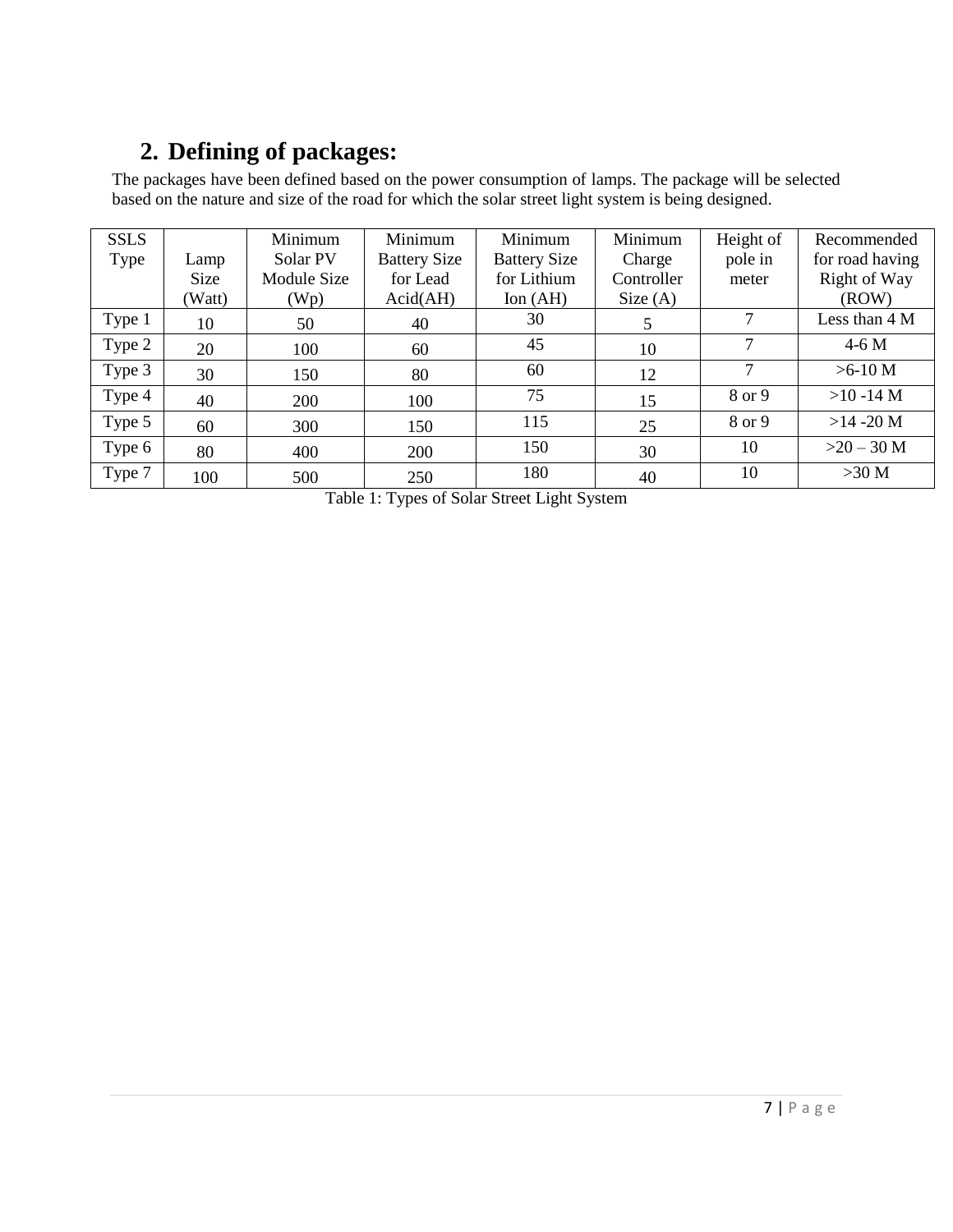# **2. Defining of packages:**

The packages have been defined based on the power consumption of lamps. The package will be selected based on the nature and size of the road for which the solar street light system is being designed.

| <b>SSLS</b> |        | Minimum     | Minimum             | Minimum             | Minimum    | Height of     | Recommended     |
|-------------|--------|-------------|---------------------|---------------------|------------|---------------|-----------------|
| Type        | Lamp   | Solar PV    | <b>Battery Size</b> | <b>Battery Size</b> | Charge     | pole in       | for road having |
|             | Size   | Module Size | for Lead            | for Lithium         | Controller | meter         | Right of Way    |
|             | (Watt) | (Wp)        | Acid(AH)            | Ion $(AH)$          | Size $(A)$ |               | (ROW)           |
| Type 1      | 10     | 50          | 40                  | 30                  | 5          | 7             | Less than $4M$  |
| Type 2      | 20     | 100         | 60                  | 45                  | 10         | $\mathcal{I}$ | $4-6M$          |
| Type 3      | 30     | 150         | 80                  | 60                  | 12         | $\mathcal{I}$ | $>6-10$ M       |
| Type 4      | 40     | 200         | 100                 | 75                  | 15         | 8 or 9        | $>10 - 14$ M    |
| Type 5      | 60     | 300         | 150                 | 115                 | 25         | 8 or 9        | $>14 - 20$ M    |
| Type 6      | 80     | 400         | <b>200</b>          | 150                 | 30         | 10            | $>20-30$ M      |
| Type 7      | 100    | 500         | 250                 | 180                 | 40         | 10            | $>30$ M         |

Table 1: Types of Solar Street Light System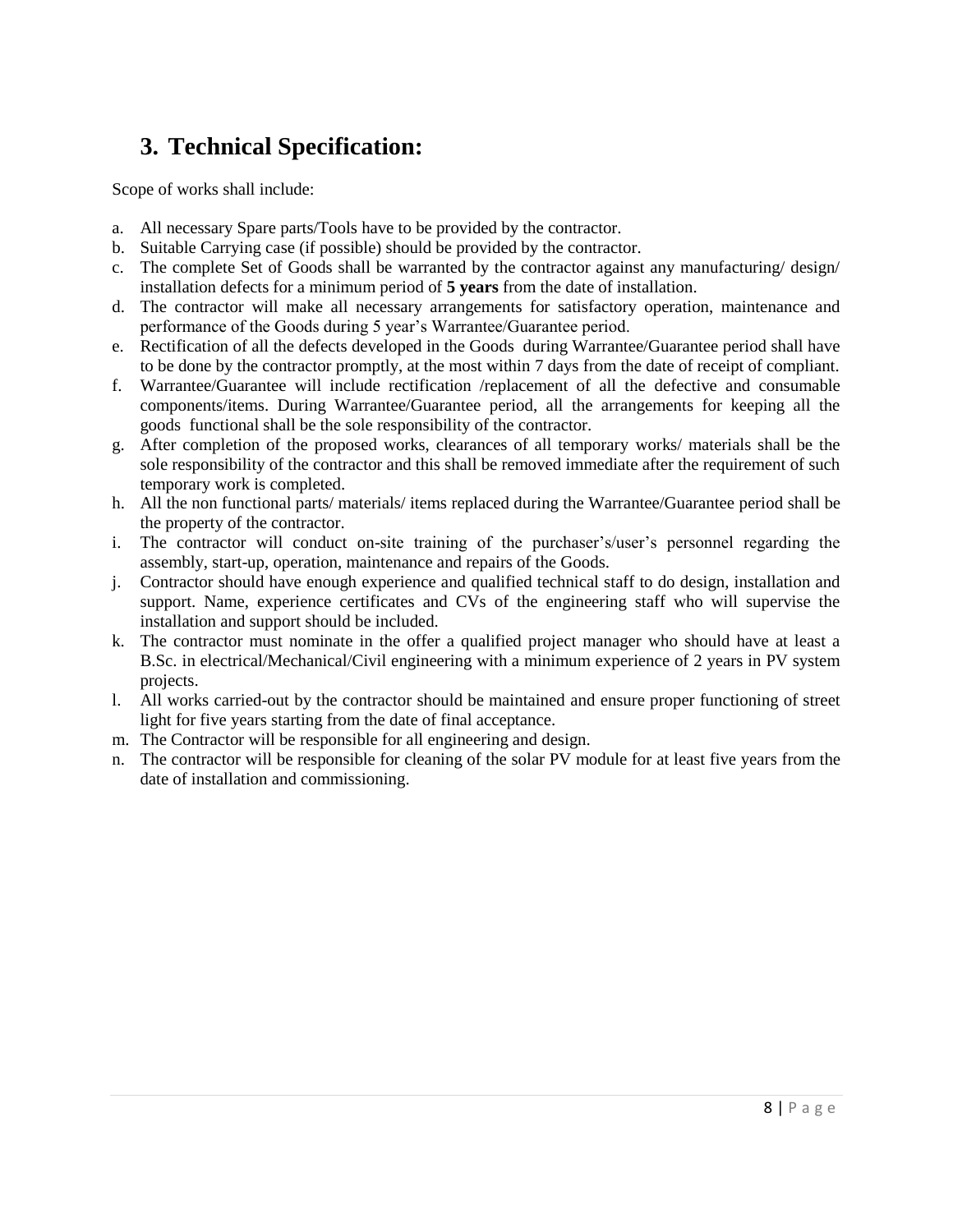## **3. Technical Specification:**

Scope of works shall include:

- a. All necessary Spare parts/Tools have to be provided by the contractor.
- b. Suitable Carrying case (if possible) should be provided by the contractor.
- c. The complete Set of Goods shall be warranted by the contractor against any manufacturing/ design/ installation defects for a minimum period of **5 years** from the date of installation.
- d. The contractor will make all necessary arrangements for satisfactory operation, maintenance and performance of the Goods during 5 year's Warrantee/Guarantee period.
- e. Rectification of all the defects developed in the Goods during Warrantee/Guarantee period shall have to be done by the contractor promptly, at the most within 7 days from the date of receipt of compliant.
- f. Warrantee/Guarantee will include rectification /replacement of all the defective and consumable components/items. During Warrantee/Guarantee period, all the arrangements for keeping all the goods functional shall be the sole responsibility of the contractor.
- g. After completion of the proposed works, clearances of all temporary works/ materials shall be the sole responsibility of the contractor and this shall be removed immediate after the requirement of such temporary work is completed.
- h. All the non functional parts/ materials/ items replaced during the Warrantee/Guarantee period shall be the property of the contractor.
- i. The contractor will conduct on-site training of the purchaser's/user's personnel regarding the assembly, start-up, operation, maintenance and repairs of the Goods.
- j. Contractor should have enough experience and qualified technical staff to do design, installation and support. Name, experience certificates and CVs of the engineering staff who will supervise the installation and support should be included.
- k. The contractor must nominate in the offer a qualified project manager who should have at least a B.Sc. in electrical/Mechanical/Civil engineering with a minimum experience of 2 years in PV system projects.
- l. All works carried-out by the contractor should be maintained and ensure proper functioning of street light for five years starting from the date of final acceptance.
- m. The Contractor will be responsible for all engineering and design.
- n. The contractor will be responsible for cleaning of the solar PV module for at least five years from the date of installation and commissioning.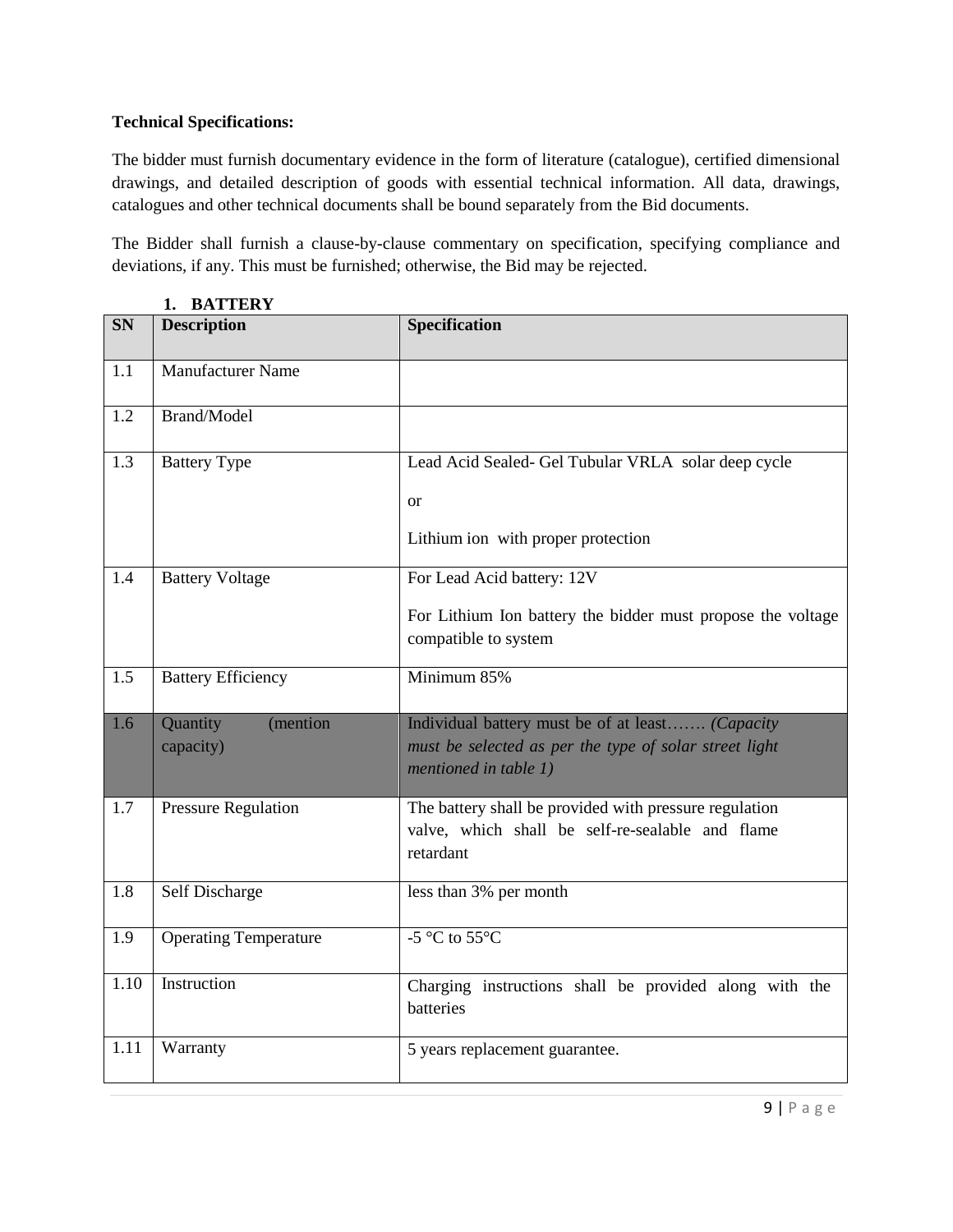#### **Technical Specifications:**

The bidder must furnish documentary evidence in the form of literature (catalogue), certified dimensional drawings, and detailed description of goods with essential technical information. All data, drawings, catalogues and other technical documents shall be bound separately from the Bid documents.

The Bidder shall furnish a clause-by-clause commentary on specification, specifying compliance and deviations, if any. This must be furnished; otherwise, the Bid may be rejected.

| <b>SN</b> | <b>Description</b>           | <b>Specification</b>                                                                |  |  |
|-----------|------------------------------|-------------------------------------------------------------------------------------|--|--|
| 1.1       | <b>Manufacturer Name</b>     |                                                                                     |  |  |
| 1.2       | Brand/Model                  |                                                                                     |  |  |
| 1.3       | <b>Battery Type</b>          | Lead Acid Sealed- Gel Tubular VRLA solar deep cycle                                 |  |  |
|           |                              | <b>or</b>                                                                           |  |  |
|           |                              | Lithium ion with proper protection                                                  |  |  |
| 1.4       | <b>Battery Voltage</b>       | For Lead Acid battery: 12V                                                          |  |  |
|           |                              | For Lithium Ion battery the bidder must propose the voltage<br>compatible to system |  |  |
| 1.5       | <b>Battery Efficiency</b>    | Minimum 85%                                                                         |  |  |
| 1.6       | Quantity<br>(mention         | Individual battery must be of at least (Capacity                                    |  |  |
|           | capacity)                    | must be selected as per the type of solar street light<br>mentioned in table 1)     |  |  |
| 1.7       | <b>Pressure Regulation</b>   | The battery shall be provided with pressure regulation                              |  |  |
|           |                              | valve, which shall be self-re-sealable and flame<br>retardant                       |  |  |
| 1.8       | Self Discharge               | less than 3% per month                                                              |  |  |
| 1.9       | <b>Operating Temperature</b> | $-5$ °C to $55$ °C                                                                  |  |  |
| 1.10      | Instruction                  | Charging instructions shall be provided along with the<br>batteries                 |  |  |
| 1.11      | Warranty                     | 5 years replacement guarantee.                                                      |  |  |

**1. BATTERY**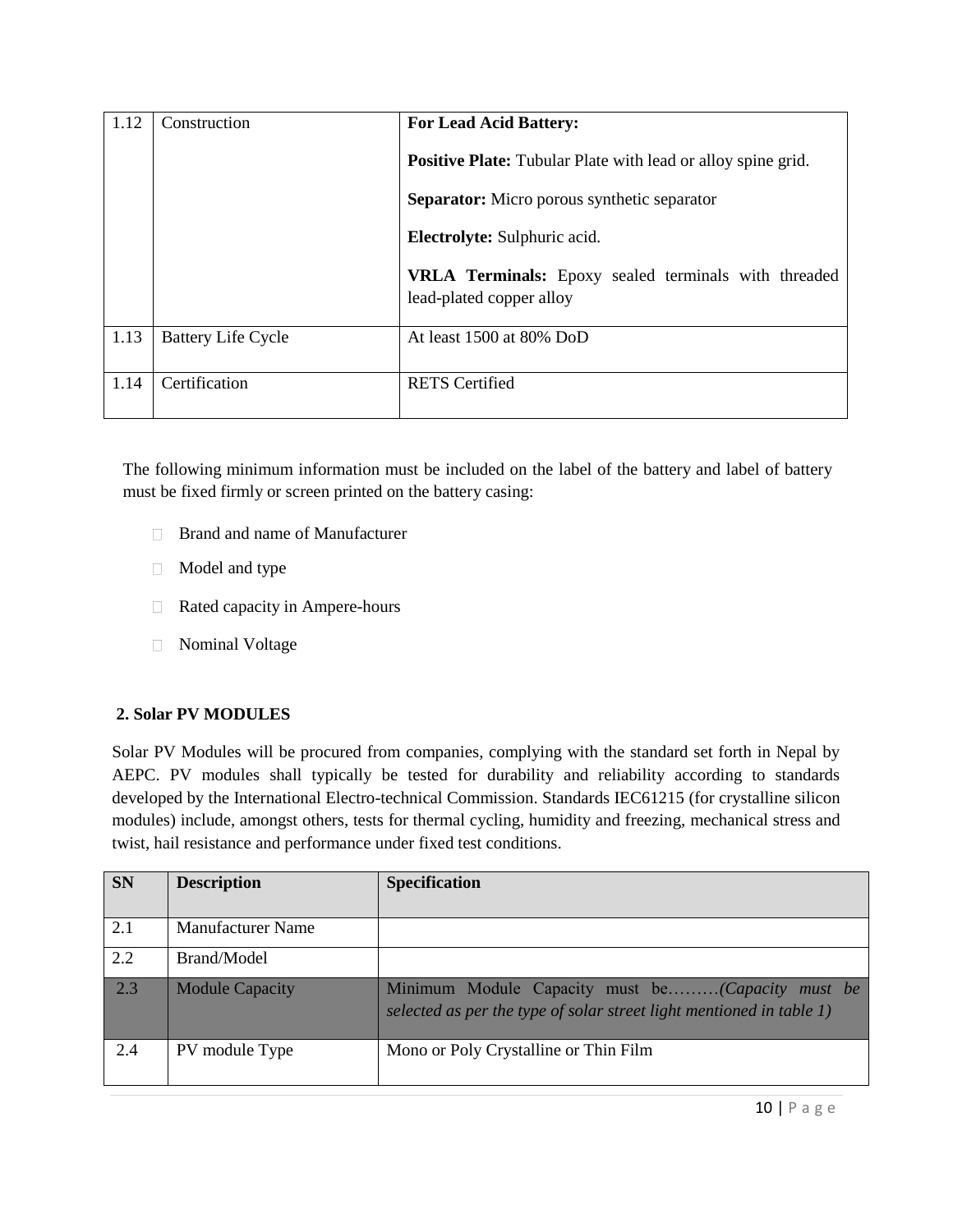| 1.12 | Construction              | <b>For Lead Acid Battery:</b>                                                           |  |  |
|------|---------------------------|-----------------------------------------------------------------------------------------|--|--|
|      |                           | <b>Positive Plate:</b> Tubular Plate with lead or alloy spine grid.                     |  |  |
|      |                           | <b>Separator:</b> Micro porous synthetic separator                                      |  |  |
|      |                           | Electrolyte: Sulphuric acid.                                                            |  |  |
|      |                           | <b>VRLA Terminals:</b> Epoxy sealed terminals with threaded<br>lead-plated copper alloy |  |  |
| 1.13 | <b>Battery Life Cycle</b> | At least 1500 at 80% DoD                                                                |  |  |
| 1.14 | Certification             | <b>RETS</b> Certified                                                                   |  |  |

The following minimum information must be included on the label of the battery and label of battery must be fixed firmly or screen printed on the battery casing:

- □ Brand and name of Manufacturer
- Model and type
- Rated capacity in Ampere-hours
- Nominal Voltage

#### **2. Solar PV MODULES**

Solar PV Modules will be procured from companies, complying with the standard set forth in Nepal by AEPC. PV modules shall typically be tested for durability and reliability according to standards developed by the International Electro-technical Commission. Standards IEC61215 (for crystalline silicon modules) include, amongst others, tests for thermal cycling, humidity and freezing, mechanical stress and twist, hail resistance and performance under fixed test conditions.

| <b>SN</b> | <b>Description</b>       | <b>Specification</b>                                                                                                        |
|-----------|--------------------------|-----------------------------------------------------------------------------------------------------------------------------|
| 2.1       | <b>Manufacturer Name</b> |                                                                                                                             |
| 2.2       | Brand/Model              |                                                                                                                             |
| 2.3       | <b>Module Capacity</b>   | Minimum Module Capacity must be(Capacity must be<br>selected as per the type of solar street light mentioned in table $1$ ) |
| 2.4       | PV module Type           | Mono or Poly Crystalline or Thin Film                                                                                       |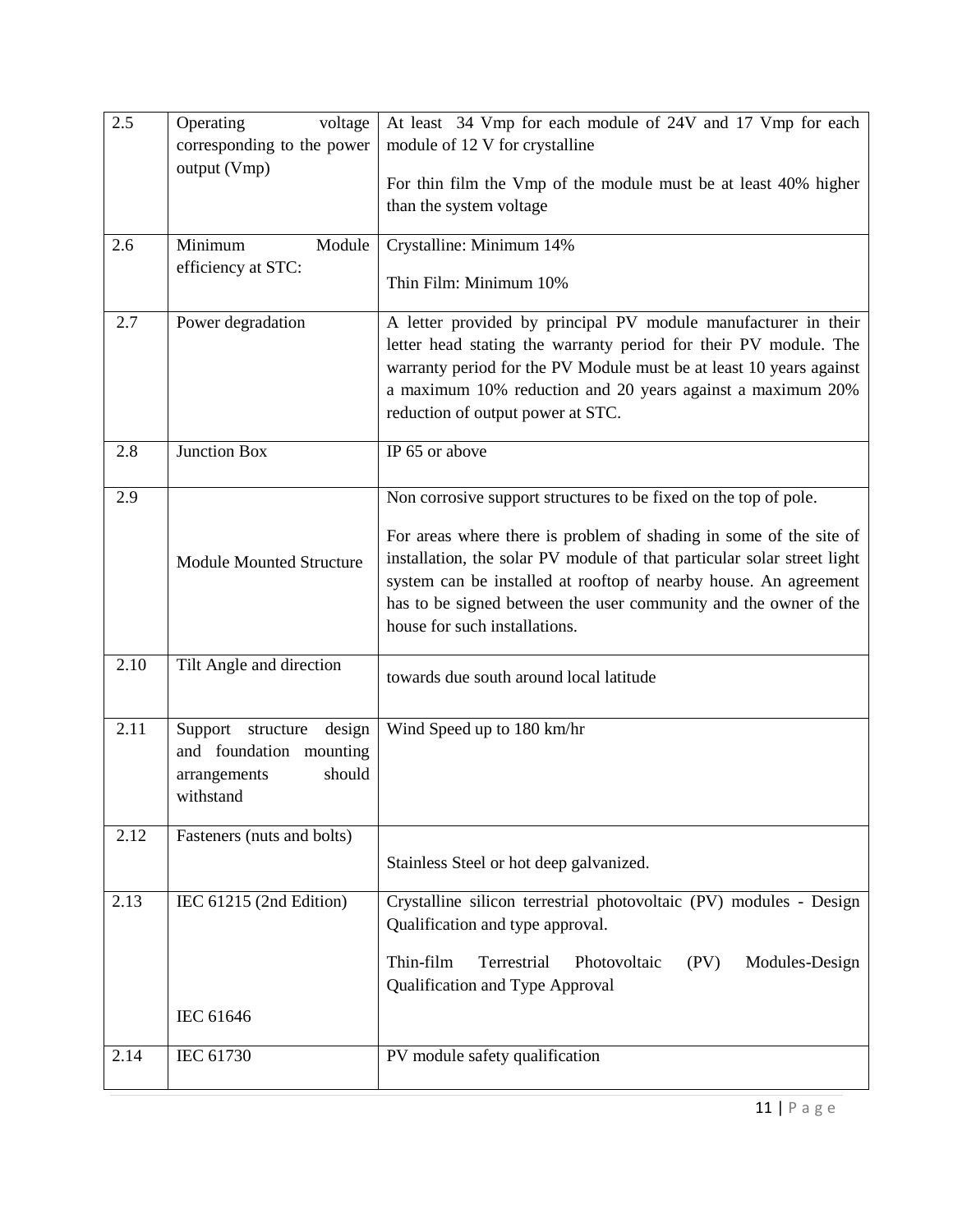| 2.5  | Operating<br>voltage            | At least 34 Vmp for each module of 24V and 17 Vmp for each              |  |  |  |
|------|---------------------------------|-------------------------------------------------------------------------|--|--|--|
|      | corresponding to the power      | module of 12 V for crystalline                                          |  |  |  |
|      | output (Vmp)                    | For thin film the Vmp of the module must be at least 40% higher         |  |  |  |
|      |                                 | than the system voltage                                                 |  |  |  |
|      |                                 |                                                                         |  |  |  |
| 2.6  | Minimum<br>Module               | Crystalline: Minimum 14%                                                |  |  |  |
|      | efficiency at STC:              |                                                                         |  |  |  |
|      |                                 | Thin Film: Minimum 10%                                                  |  |  |  |
| 2.7  | Power degradation               | A letter provided by principal PV module manufacturer in their          |  |  |  |
|      |                                 | letter head stating the warranty period for their PV module. The        |  |  |  |
|      |                                 | warranty period for the PV Module must be at least 10 years against     |  |  |  |
|      |                                 | a maximum 10% reduction and 20 years against a maximum 20%              |  |  |  |
|      |                                 | reduction of output power at STC.                                       |  |  |  |
| 2.8  | Junction Box                    | IP $65$ or above                                                        |  |  |  |
|      |                                 |                                                                         |  |  |  |
| 2.9  |                                 | Non corrosive support structures to be fixed on the top of pole.        |  |  |  |
|      |                                 | For areas where there is problem of shading in some of the site of      |  |  |  |
|      | <b>Module Mounted Structure</b> | installation, the solar PV module of that particular solar street light |  |  |  |
|      |                                 | system can be installed at rooftop of nearby house. An agreement        |  |  |  |
|      |                                 | has to be signed between the user community and the owner of the        |  |  |  |
|      |                                 | house for such installations.                                           |  |  |  |
| 2.10 | Tilt Angle and direction        |                                                                         |  |  |  |
|      |                                 | towards due south around local latitude                                 |  |  |  |
|      |                                 |                                                                         |  |  |  |
| 2.11 | Support structure<br>design     | Wind Speed up to 180 km/hr                                              |  |  |  |
|      | and foundation mounting         |                                                                         |  |  |  |
|      | should<br>arrangements          |                                                                         |  |  |  |
|      | withstand                       |                                                                         |  |  |  |
| 2.12 | Fasteners (nuts and bolts)      |                                                                         |  |  |  |
|      |                                 | Stainless Steel or hot deep galvanized.                                 |  |  |  |
|      |                                 |                                                                         |  |  |  |
| 2.13 | IEC 61215 (2nd Edition)         | Crystalline silicon terrestrial photovoltaic (PV) modules - Design      |  |  |  |
|      |                                 | Qualification and type approval.                                        |  |  |  |
|      |                                 | Thin-film<br>Terrestrial<br>Photovoltaic<br>(PV)<br>Modules-Design      |  |  |  |
|      |                                 | Qualification and Type Approval                                         |  |  |  |
|      | IEC 61646                       |                                                                         |  |  |  |
|      |                                 |                                                                         |  |  |  |
| 2.14 | IEC 61730                       | PV module safety qualification                                          |  |  |  |
|      |                                 |                                                                         |  |  |  |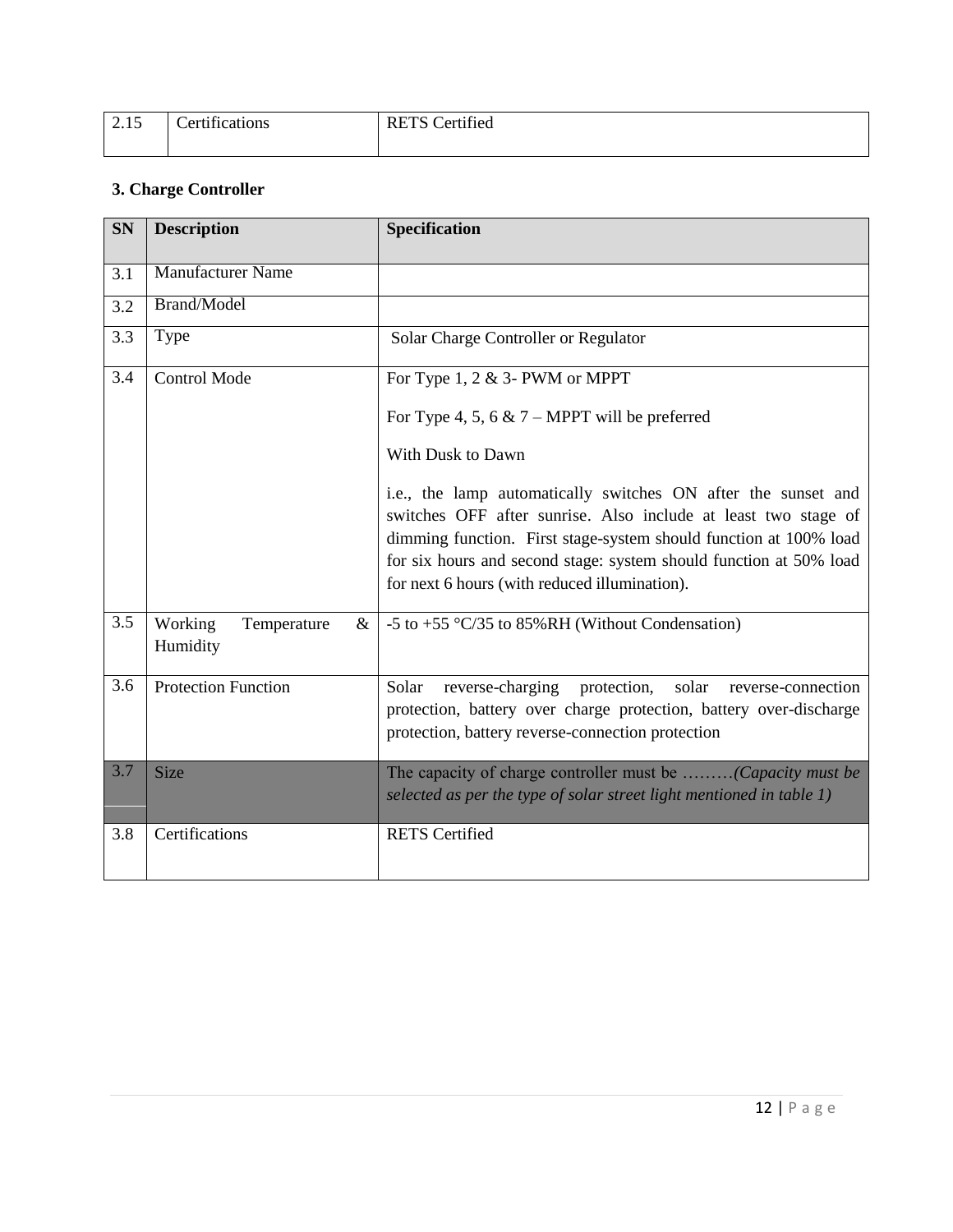| 2.15 | $\cdot$ $\sim$<br>$+10011000$<br>`Art<br>ппсанонѕ | <b>RETS</b> Certified |
|------|---------------------------------------------------|-----------------------|
|      |                                                   |                       |

## **3. Charge Controller**

| <b>SN</b>        | <b>Description</b>                         | Specification                                                                                                                                                                                                                                                                                                               |
|------------------|--------------------------------------------|-----------------------------------------------------------------------------------------------------------------------------------------------------------------------------------------------------------------------------------------------------------------------------------------------------------------------------|
| 3.1              | <b>Manufacturer Name</b>                   |                                                                                                                                                                                                                                                                                                                             |
| 3.2              | <b>Brand/Model</b>                         |                                                                                                                                                                                                                                                                                                                             |
| $\overline{3.3}$ | Type                                       | Solar Charge Controller or Regulator                                                                                                                                                                                                                                                                                        |
| 3.4              | <b>Control Mode</b>                        | For Type 1, 2 $&$ 3- PWM or MPPT                                                                                                                                                                                                                                                                                            |
|                  |                                            | For Type 4, 5, 6 $\&$ 7 – MPPT will be preferred                                                                                                                                                                                                                                                                            |
|                  |                                            | With Dusk to Dawn                                                                                                                                                                                                                                                                                                           |
|                  |                                            | i.e., the lamp automatically switches ON after the sunset and<br>switches OFF after sunrise. Also include at least two stage of<br>dimming function. First stage-system should function at 100% load<br>for six hours and second stage: system should function at 50% load<br>for next 6 hours (with reduced illumination). |
| 3.5              | Working<br>Temperature<br>$\&$<br>Humidity | -5 to +55 $\degree$ C/35 to 85%RH (Without Condensation)                                                                                                                                                                                                                                                                    |
| 3.6              | <b>Protection Function</b>                 | reverse-charging protection,<br>Solar<br>solar<br>reverse-connection<br>protection, battery over charge protection, battery over-discharge<br>protection, battery reverse-connection protection                                                                                                                             |
| 3.7              | Size                                       | The capacity of charge controller must be (Capacity must be<br>selected as per the type of solar street light mentioned in table 1)                                                                                                                                                                                         |
| 3.8              | Certifications                             | <b>RETS</b> Certified                                                                                                                                                                                                                                                                                                       |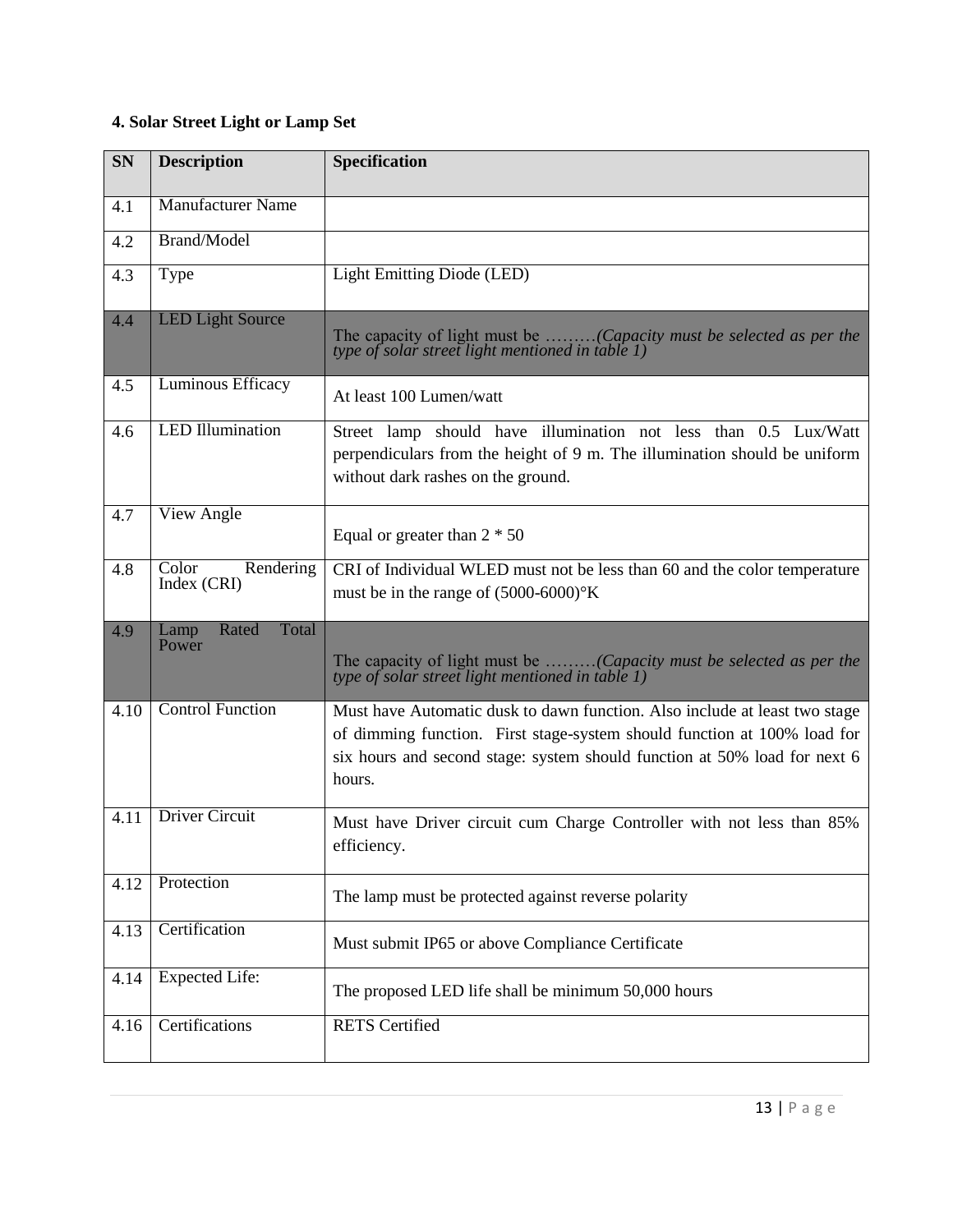## **4. Solar Street Light or Lamp Set**

| <b>SN</b> | <b>Description</b>                | <b>Specification</b>                                                                                                                                                                                                                          |
|-----------|-----------------------------------|-----------------------------------------------------------------------------------------------------------------------------------------------------------------------------------------------------------------------------------------------|
| 4.1       | <b>Manufacturer Name</b>          |                                                                                                                                                                                                                                               |
| 4.2       | Brand/Model                       |                                                                                                                                                                                                                                               |
| 4.3       | Type                              | Light Emitting Diode (LED)                                                                                                                                                                                                                    |
| 4.4       | <b>LED Light Source</b>           | The capacity of light must be (Capacity must be selected as per the<br>type of solar street light mentioned in table 1)                                                                                                                       |
| 4.5       | Luminous Efficacy                 | At least 100 Lumen/watt                                                                                                                                                                                                                       |
| 4.6       | <b>LED</b> Illumination           | Street lamp should have illumination not less than 0.5 Lux/Watt<br>perpendiculars from the height of 9 m. The illumination should be uniform<br>without dark rashes on the ground.                                                            |
| 4.7       | View Angle                        | Equal or greater than $2 * 50$                                                                                                                                                                                                                |
| 4.8       | Rendering<br>Color<br>Index (CRI) | CRI of Individual WLED must not be less than 60 and the color temperature<br>must be in the range of $(5000-6000)$ <sup>o</sup> K                                                                                                             |
| 4.9       | Rated<br>Total<br>Lamp<br>Power   | The capacity of light must be (Capacity must be selected as per the<br>type of solar street light mentioned in table 1)                                                                                                                       |
| 4.10      | <b>Control Function</b>           | Must have Automatic dusk to dawn function. Also include at least two stage<br>of dimming function. First stage-system should function at 100% load for<br>six hours and second stage: system should function at 50% load for next 6<br>hours. |
| 4.11      | <b>Driver Circuit</b>             | Must have Driver circuit cum Charge Controller with not less than 85%<br>efficiency.                                                                                                                                                          |
| 4.12      | Protection                        | The lamp must be protected against reverse polarity                                                                                                                                                                                           |
| 4.13      | Certification                     | Must submit IP65 or above Compliance Certificate                                                                                                                                                                                              |
| 4.14      | <b>Expected Life:</b>             | The proposed LED life shall be minimum 50,000 hours                                                                                                                                                                                           |
| 4.16      | Certifications                    | <b>RETS</b> Certified                                                                                                                                                                                                                         |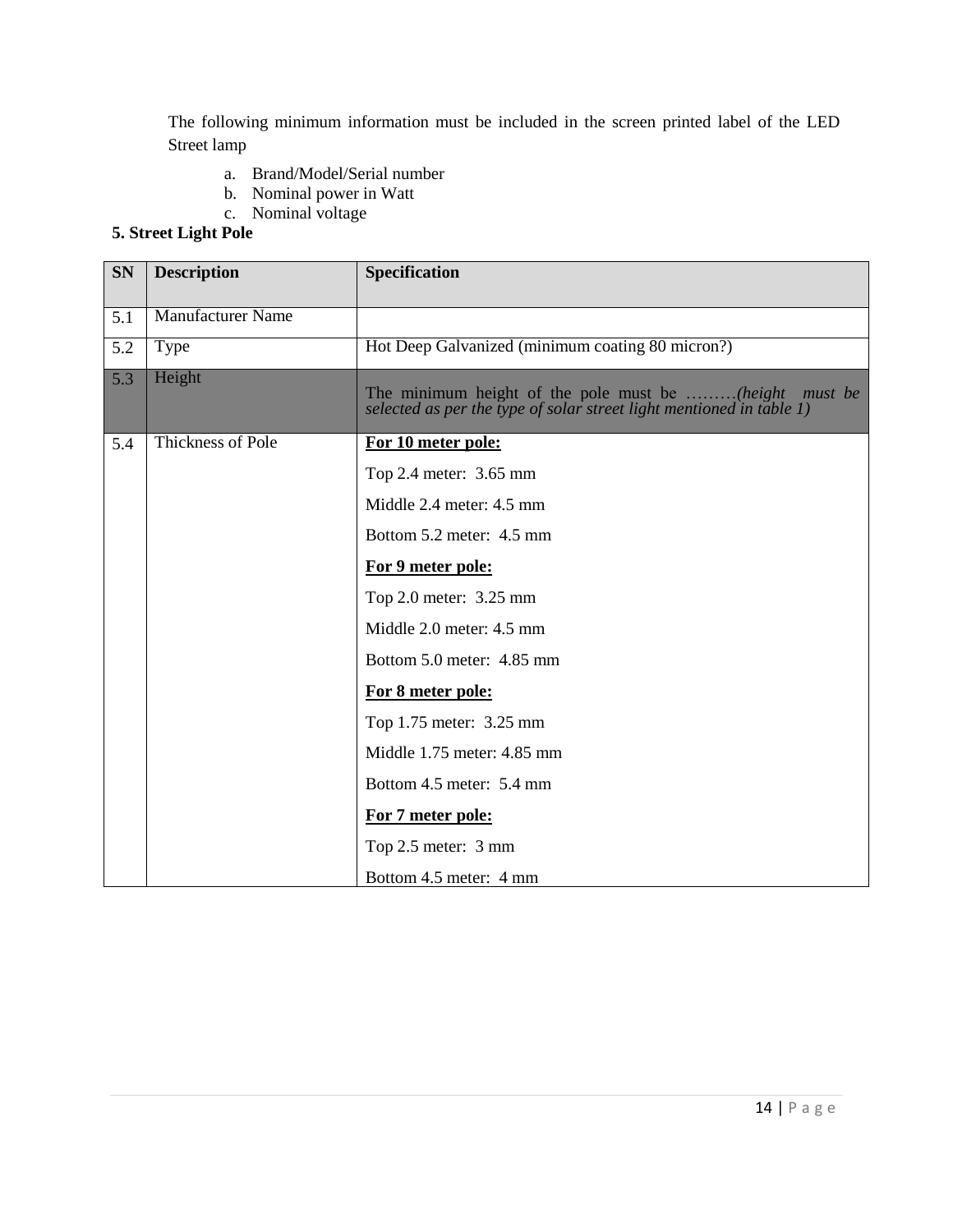The following minimum information must be included in the screen printed label of the LED Street lamp

- a. Brand/Model/Serial number
- b. Nominal power in Watt
- c. Nominal voltage

## **5. Street Light Pole**

| <b>SN</b> | <b>Description</b> | Specification                                                                                                                     |  |  |
|-----------|--------------------|-----------------------------------------------------------------------------------------------------------------------------------|--|--|
| 5.1       | Manufacturer Name  |                                                                                                                                   |  |  |
| 5.2       | Type               | Hot Deep Galvanized (minimum coating 80 micron?)                                                                                  |  |  |
| 5.3       | Height             | The minimum height of the pole must be (height<br>must be<br>selected as per the type of solar street light mentioned in table 1) |  |  |
| 5.4       | Thickness of Pole  | For 10 meter pole:                                                                                                                |  |  |
|           |                    | Top 2.4 meter: 3.65 mm                                                                                                            |  |  |
|           |                    | Middle 2.4 meter: 4.5 mm                                                                                                          |  |  |
|           |                    | Bottom 5.2 meter: 4.5 mm                                                                                                          |  |  |
|           |                    | For 9 meter pole:                                                                                                                 |  |  |
|           |                    | Top 2.0 meter: 3.25 mm                                                                                                            |  |  |
|           |                    | Middle 2.0 meter: 4.5 mm                                                                                                          |  |  |
|           |                    | Bottom 5.0 meter: 4.85 mm                                                                                                         |  |  |
|           |                    | For 8 meter pole:                                                                                                                 |  |  |
|           |                    | Top 1.75 meter: 3.25 mm                                                                                                           |  |  |
|           |                    | Middle 1.75 meter: 4.85 mm                                                                                                        |  |  |
|           |                    | Bottom 4.5 meter: 5.4 mm                                                                                                          |  |  |
|           |                    | For 7 meter pole:                                                                                                                 |  |  |
|           |                    | Top 2.5 meter: 3 mm                                                                                                               |  |  |
|           |                    | Bottom 4.5 meter: 4 mm                                                                                                            |  |  |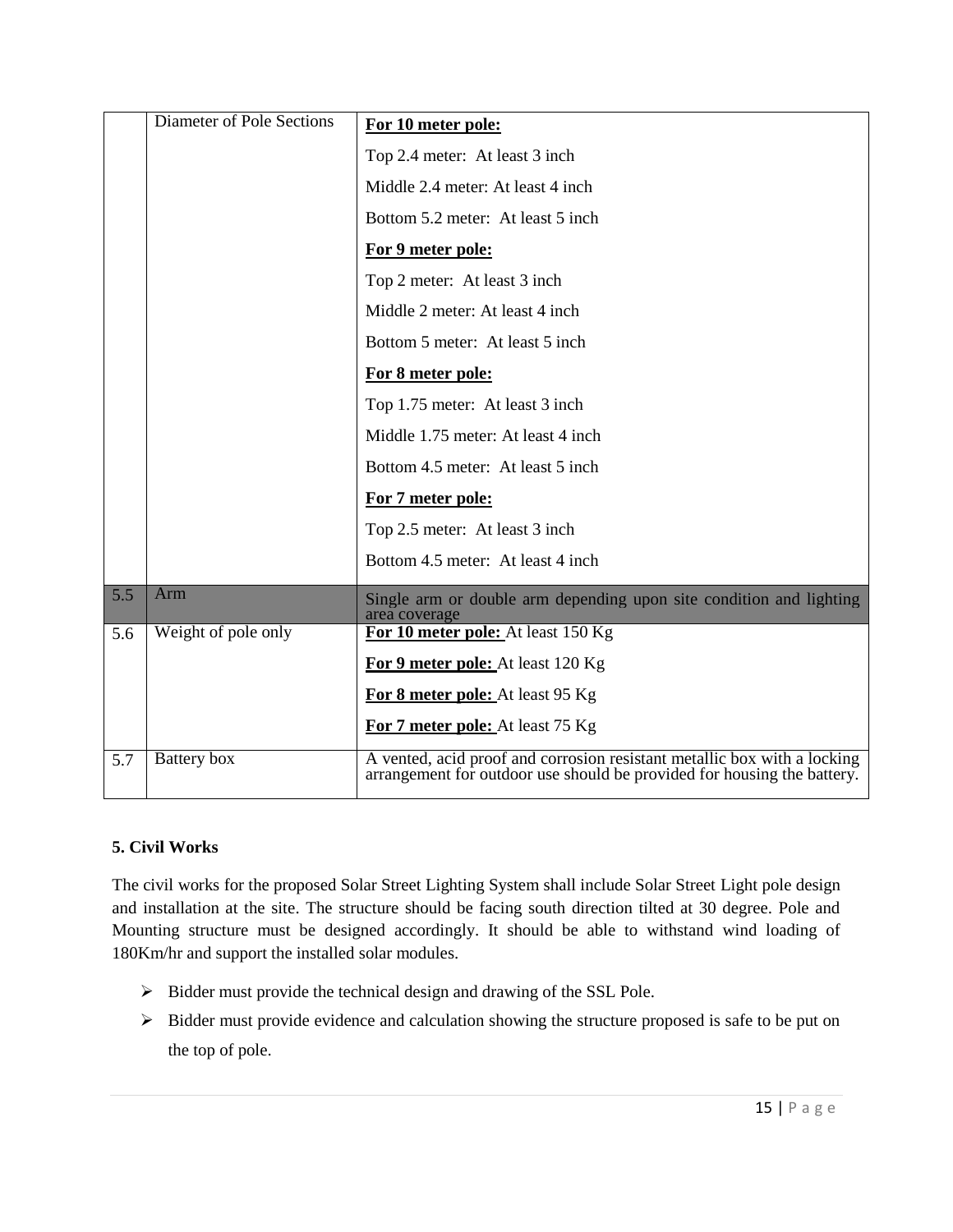|     | <b>Diameter of Pole Sections</b> | For 10 meter pole:                                                                                                                                  |  |  |
|-----|----------------------------------|-----------------------------------------------------------------------------------------------------------------------------------------------------|--|--|
|     |                                  | Top 2.4 meter: At least 3 inch                                                                                                                      |  |  |
|     |                                  | Middle 2.4 meter: At least 4 inch                                                                                                                   |  |  |
|     |                                  | Bottom 5.2 meter: At least 5 inch                                                                                                                   |  |  |
|     |                                  | For 9 meter pole:                                                                                                                                   |  |  |
|     |                                  | Top 2 meter: At least 3 inch                                                                                                                        |  |  |
|     |                                  | Middle 2 meter: At least 4 inch                                                                                                                     |  |  |
|     |                                  | Bottom 5 meter: At least 5 inch                                                                                                                     |  |  |
|     |                                  | For 8 meter pole:                                                                                                                                   |  |  |
|     |                                  | Top 1.75 meter: At least 3 inch                                                                                                                     |  |  |
|     |                                  | Middle 1.75 meter: At least 4 inch                                                                                                                  |  |  |
|     |                                  | Bottom 4.5 meter: At least 5 inch.                                                                                                                  |  |  |
|     |                                  | For 7 meter pole:                                                                                                                                   |  |  |
|     |                                  | Top 2.5 meter: At least 3 inch                                                                                                                      |  |  |
|     |                                  | Bottom 4.5 meter: At least 4 inch.                                                                                                                  |  |  |
| 5.5 | Arm                              | Single arm or double arm depending upon site condition and lighting<br>area coverage                                                                |  |  |
| 5.6 | Weight of pole only              | For 10 meter pole: At least 150 Kg                                                                                                                  |  |  |
|     |                                  | For 9 meter pole: At least 120 Kg                                                                                                                   |  |  |
|     |                                  | For 8 meter pole: At least 95 Kg                                                                                                                    |  |  |
|     |                                  | For 7 meter pole: At least 75 Kg                                                                                                                    |  |  |
| 5.7 | Battery box                      | A vented, acid proof and corrosion resistant metallic box with a locking<br>arrangement for outdoor use should be provided for housing the battery. |  |  |

#### **5. Civil Works**

The civil works for the proposed Solar Street Lighting System shall include Solar Street Light pole design and installation at the site. The structure should be facing south direction tilted at 30 degree. Pole and Mounting structure must be designed accordingly. It should be able to withstand wind loading of 180Km/hr and support the installed solar modules.

- $\triangleright$  Bidder must provide the technical design and drawing of the SSL Pole.
- $\triangleright$  Bidder must provide evidence and calculation showing the structure proposed is safe to be put on the top of pole.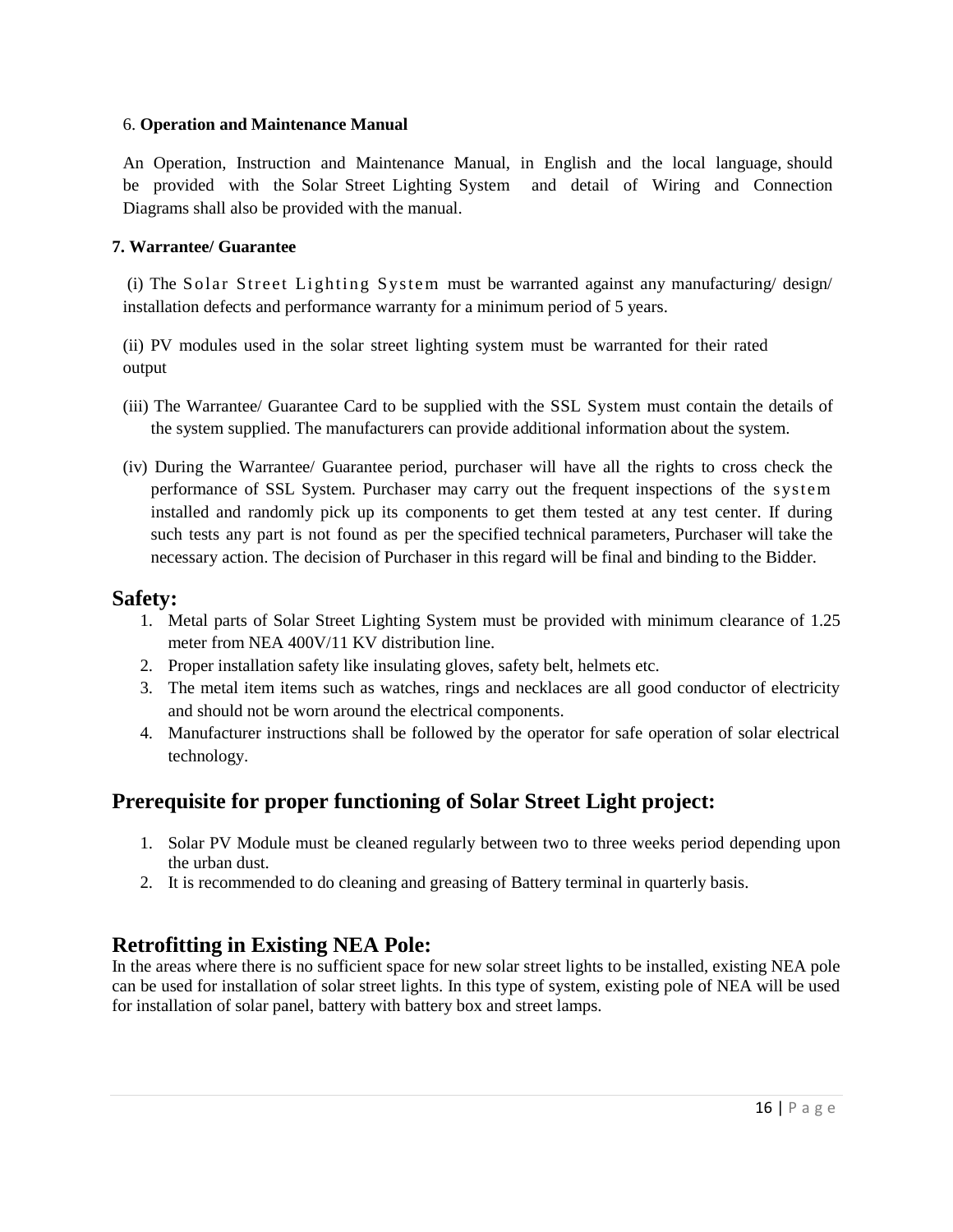#### 6. **Operation and Maintenance Manual**

An Operation, Instruction and Maintenance Manual, in English and the local language, should be provided with the Solar Street Lighting System and detail of Wiring and Connection Diagrams shall also be provided with the manual.

#### **7. Warrantee/ Guarantee**

(i) The Solar Street Lighting System must be warranted against any manufacturing/ design/ installation defects and performance warranty for a minimum period of 5 years.

(ii) PV modules used in the solar street lighting system must be warranted for their rated output

- (iii) The Warrantee/ Guarantee Card to be supplied with the SSL System must contain the details of the system supplied. The manufacturers can provide additional information about the system.
- (iv) During the Warrantee/ Guarantee period, purchaser will have all the rights to cross check the performance of SSL System. Purchaser may carry out the frequent inspections of the system installed and randomly pick up its components to get them tested at any test center. If during such tests any part is not found as per the specified technical parameters, Purchaser will take the necessary action. The decision of Purchaser in this regard will be final and binding to the Bidder.

#### **Safety:**

- 1. Metal parts of Solar Street Lighting System must be provided with minimum clearance of 1.25 meter from NEA 400V/11 KV distribution line.
- 2. Proper installation safety like insulating gloves, safety belt, helmets etc.
- 3. The metal item items such as watches, rings and necklaces are all good conductor of electricity and should not be worn around the electrical components.
- 4. Manufacturer instructions shall be followed by the operator for safe operation of solar electrical technology.

## **Prerequisite for proper functioning of Solar Street Light project:**

- 1. Solar PV Module must be cleaned regularly between two to three weeks period depending upon the urban dust.
- 2. It is recommended to do cleaning and greasing of Battery terminal in quarterly basis.

## **Retrofitting in Existing NEA Pole:**

In the areas where there is no sufficient space for new solar street lights to be installed, existing NEA pole can be used for installation of solar street lights. In this type of system, existing pole of NEA will be used for installation of solar panel, battery with battery box and street lamps.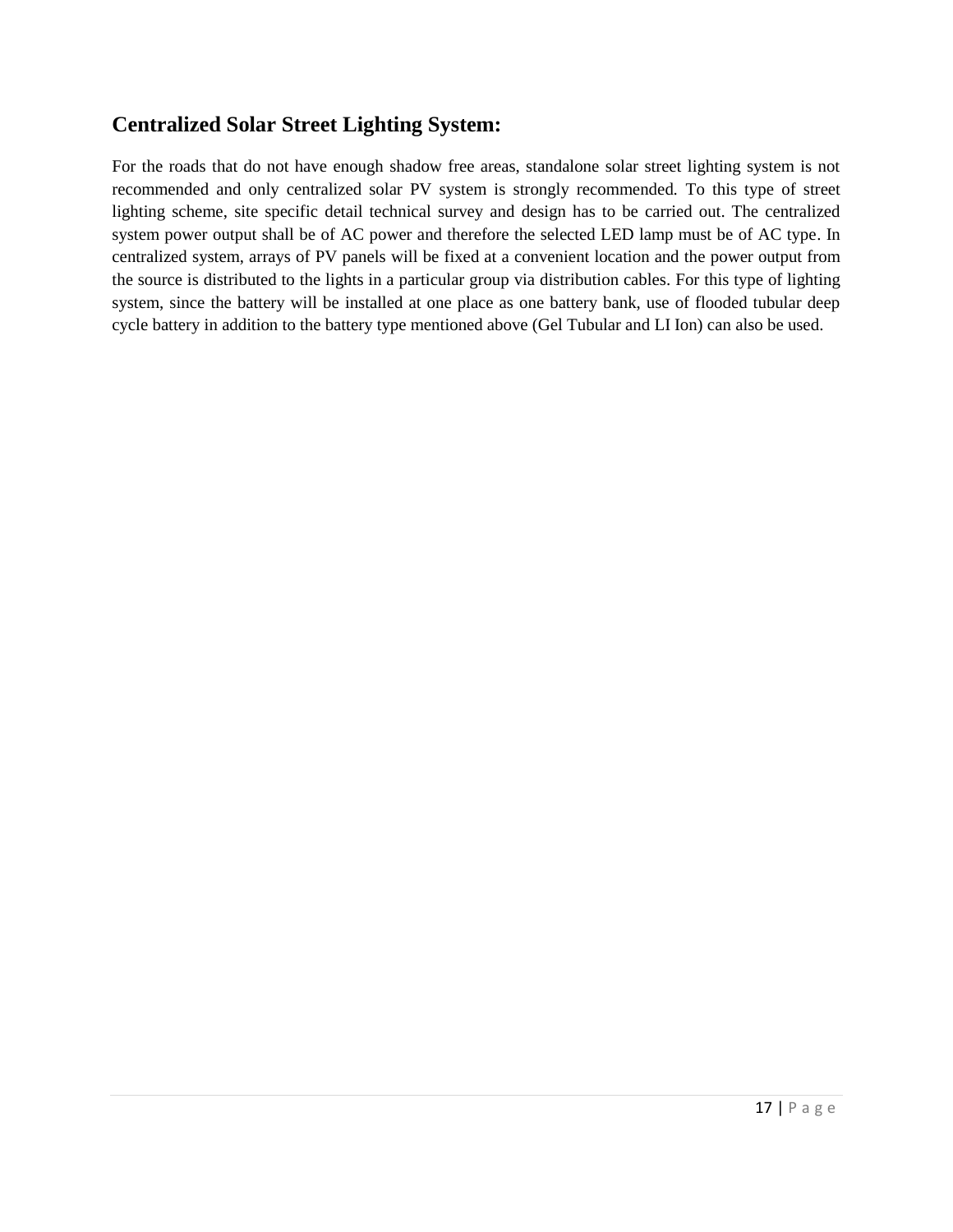## **Centralized Solar Street Lighting System:**

For the roads that do not have enough shadow free areas, standalone solar street lighting system is not recommended and only centralized solar PV system is strongly recommended. To this type of street lighting scheme, site specific detail technical survey and design has to be carried out. The centralized system power output shall be of AC power and therefore the selected LED lamp must be of AC type. In centralized system, arrays of PV panels will be fixed at a convenient location and the power output from the source is distributed to the lights in a particular group via distribution cables. For this type of lighting system, since the battery will be installed at one place as one battery bank, use of flooded tubular deep cycle battery in addition to the battery type mentioned above (Gel Tubular and LI Ion) can also be used.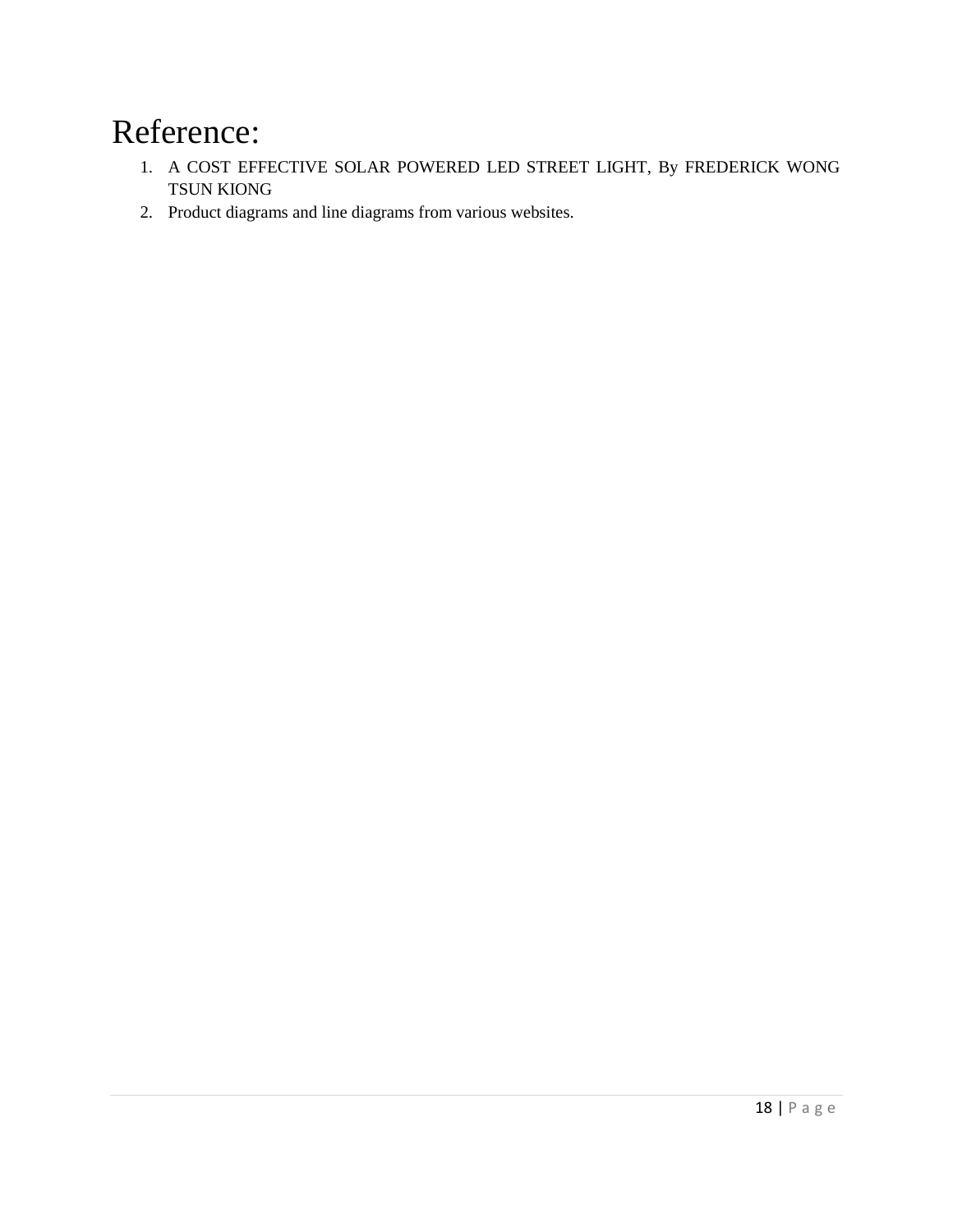# Reference:

- 1. A COST EFFECTIVE SOLAR POWERED LED STREET LIGHT, By FREDERICK WONG TSUN KIONG
- 2. Product diagrams and line diagrams from various websites.